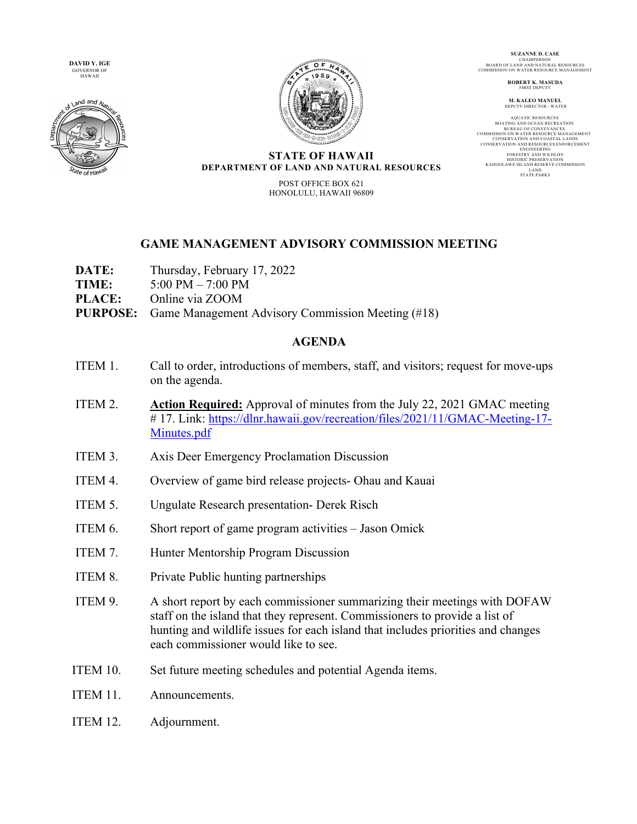**DAVID Y. IGE**  GOVERNOR OF HAWAII





**SUZANNE D. CASE** CHAIRPERSON BOARD OF LAND AND NATURAL RESOURCES COMMISSION ON WATER RESOURCE MANAGEMENT

> **ROBERT K. MASUDA** FIRST DEPUT

**M. KALEO MANUEL** DEPUTY DIRECTOR - WATER

AQUATIC RESOURCES<br>BOATING AND OCEAN RECREATION<br>BUREAU OF CONVEYANCES<br>COMMISSION ON WATER RESOURCE MANAGEMENT CONSERVATION AND RESOURCES ENFORCEMENT<br>
ENGINEERING<br>
ENGINEERING<br>
FORESTRY AND WILDLIFE<br>
FORESTRY AND WILDLIFE<br>
HISTORIC PRESERVATION<br>
LAND<br>
LAND RESERVE COMMISSION<br>
LAND<br>
STATE PARKS<br>
TATE PARKS

## **STATE OF HAWAII DEPARTMENT OF LAND AND NATURAL RESOURCES**

POST OFFICE BOX 621 HONOLULU, HAWAII 96809

## **GAME MANAGEMENT ADVISORY COMMISSION MEETING**

- **DATE:** Thursday, February 17, 2022
- **TIME:** 5:00 PM 7:00 PM
- **PLACE:** Online via ZOOM
- **PURPOSE:** Game Management Advisory Commission Meeting (#18)

## **AGENDA**

- ITEM 1. Call to order, introductions of members, staff, and visitors; request for move-ups on the agenda.
- ITEM 2. **Action Required:** Approval of minutes from the July 22, 2021 GMAC meeting # 17. Link: https://dlnr.hawaii.gov/recreation/files/2021/11/GMAC-Meeting-17- Minutes.pdf
- ITEM 3. Axis Deer Emergency Proclamation Discussion
- ITEM 4. Overview of game bird release projects- Ohau and Kauai
- ITEM 5. Ungulate Research presentation- Derek Risch
- ITEM 6. Short report of game program activities Jason Omick
- ITEM 7. Hunter Mentorship Program Discussion
- ITEM 8. Private Public hunting partnerships
- ITEM 9. A short report by each commissioner summarizing their meetings with DOFAW staff on the island that they represent. Commissioners to provide a list of hunting and wildlife issues for each island that includes priorities and changes each commissioner would like to see.
- ITEM 10. Set future meeting schedules and potential Agenda items.
- ITEM 11. Announcements.
- ITEM 12. Adjournment.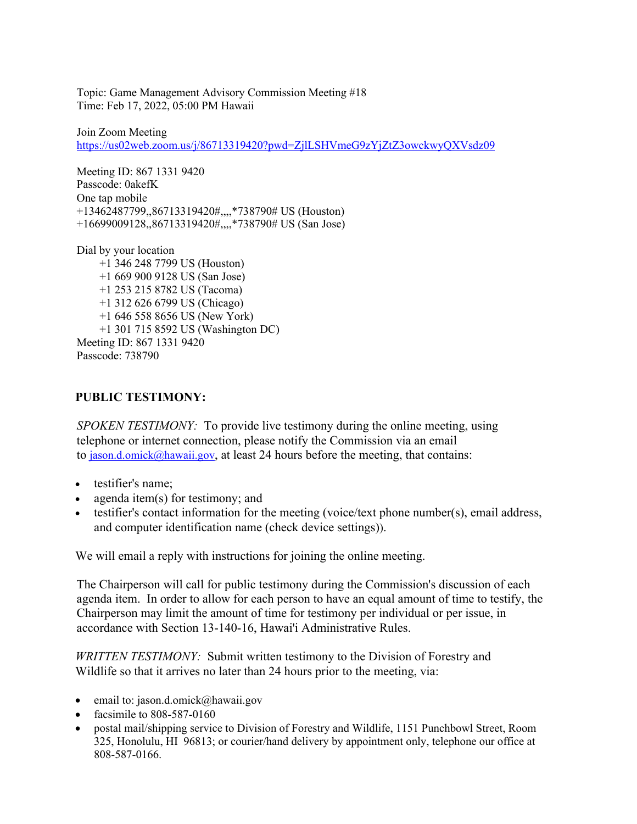Topic: Game Management Advisory Commission Meeting #18 Time: Feb 17, 2022, 05:00 PM Hawaii

Join Zoom Meeting https://us02web.zoom.us/j/86713319420?pwd=ZjlLSHVmeG9zYjZtZ3owckwyQXVsdz09

Meeting ID: 867 1331 9420 Passcode: 0akefK One tap mobile +13462487799,,86713319420#,,,,\*738790# US (Houston) +16699009128,,86713319420#,,,,\*738790# US (San Jose)

Dial by your location

 +1 346 248 7799 US (Houston) +1 669 900 9128 US (San Jose) +1 253 215 8782 US (Tacoma) +1 312 626 6799 US (Chicago) +1 646 558 8656 US (New York) +1 301 715 8592 US (Washington DC) Meeting ID: 867 1331 9420 Passcode: 738790

## **PUBLIC TESTIMONY:**

*SPOKEN TESTIMONY:* To provide live testimony during the online meeting, using telephone or internet connection, please notify the Commission via an email to  $j_{\text{ason.d.omick}}(a_{\text{hawani.gov}})$ , at least 24 hours before the meeting, that contains:

- testifier's name:
- agenda item(s) for testimony; and
- testifier's contact information for the meeting (voice/text phone number(s), email address, and computer identification name (check device settings)).

We will email a reply with instructions for joining the online meeting.

The Chairperson will call for public testimony during the Commission's discussion of each agenda item. In order to allow for each person to have an equal amount of time to testify, the Chairperson may limit the amount of time for testimony per individual or per issue, in accordance with Section 13-140-16, Hawai'i Administrative Rules.

*WRITTEN TESTIMONY:* Submit written testimony to the Division of Forestry and Wildlife so that it arrives no later than 24 hours prior to the meeting, via:

- email to: jason.d.omick@hawaii.gov
- facsimile to 808-587-0160
- postal mail/shipping service to Division of Forestry and Wildlife, 1151 Punchbowl Street, Room 325, Honolulu, HI 96813; or courier/hand delivery by appointment only, telephone our office at 808-587-0166.